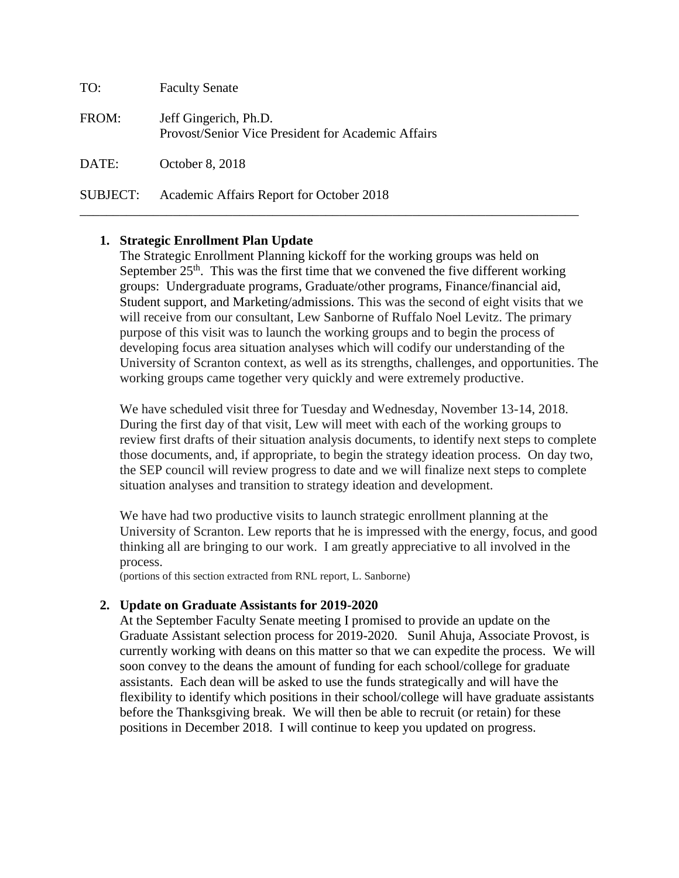| TO:      | <b>Faculty Senate</b>                                                       |
|----------|-----------------------------------------------------------------------------|
| FROM:    | Jeff Gingerich, Ph.D.<br>Provost/Senior Vice President for Academic Affairs |
| DATE:    | October 8, 2018                                                             |
| SUBJECT: | Academic Affairs Report for October 2018                                    |

# **1. Strategic Enrollment Plan Update**

The Strategic Enrollment Planning kickoff for the working groups was held on September  $25<sup>th</sup>$ . This was the first time that we convened the five different working groups: Undergraduate programs, Graduate/other programs, Finance/financial aid, Student support, and Marketing/admissions. This was the second of eight visits that we will receive from our consultant, Lew Sanborne of Ruffalo Noel Levitz. The primary purpose of this visit was to launch the working groups and to begin the process of developing focus area situation analyses which will codify our understanding of the University of Scranton context, as well as its strengths, challenges, and opportunities. The working groups came together very quickly and were extremely productive.

\_\_\_\_\_\_\_\_\_\_\_\_\_\_\_\_\_\_\_\_\_\_\_\_\_\_\_\_\_\_\_\_\_\_\_\_\_\_\_\_\_\_\_\_\_\_\_\_\_\_\_\_\_\_\_\_\_\_\_\_\_\_\_\_\_\_\_\_\_\_\_\_\_\_\_

We have scheduled visit three for Tuesday and Wednesday, November 13-14, 2018. During the first day of that visit, Lew will meet with each of the working groups to review first drafts of their situation analysis documents, to identify next steps to complete those documents, and, if appropriate, to begin the strategy ideation process. On day two, the SEP council will review progress to date and we will finalize next steps to complete situation analyses and transition to strategy ideation and development.

We have had two productive visits to launch strategic enrollment planning at the University of Scranton. Lew reports that he is impressed with the energy, focus, and good thinking all are bringing to our work. I am greatly appreciative to all involved in the process.

(portions of this section extracted from RNL report, L. Sanborne)

## **2. Update on Graduate Assistants for 2019-2020**

At the September Faculty Senate meeting I promised to provide an update on the Graduate Assistant selection process for 2019-2020. Sunil Ahuja, Associate Provost, is currently working with deans on this matter so that we can expedite the process. We will soon convey to the deans the amount of funding for each school/college for graduate assistants. Each dean will be asked to use the funds strategically and will have the flexibility to identify which positions in their school/college will have graduate assistants before the Thanksgiving break. We will then be able to recruit (or retain) for these positions in December 2018. I will continue to keep you updated on progress.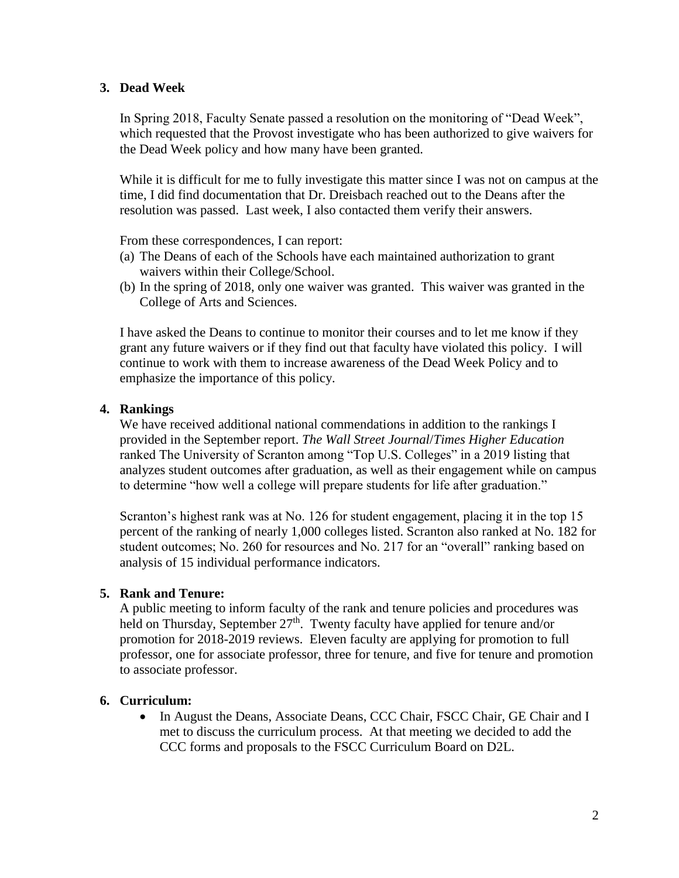# **3. Dead Week**

In Spring 2018, Faculty Senate passed a resolution on the monitoring of "Dead Week", which requested that the Provost investigate who has been authorized to give waivers for the Dead Week policy and how many have been granted.

While it is difficult for me to fully investigate this matter since I was not on campus at the time, I did find documentation that Dr. Dreisbach reached out to the Deans after the resolution was passed. Last week, I also contacted them verify their answers.

From these correspondences, I can report:

- (a) The Deans of each of the Schools have each maintained authorization to grant waivers within their College/School.
- (b) In the spring of 2018, only one waiver was granted. This waiver was granted in the College of Arts and Sciences.

I have asked the Deans to continue to monitor their courses and to let me know if they grant any future waivers or if they find out that faculty have violated this policy. I will continue to work with them to increase awareness of the Dead Week Policy and to emphasize the importance of this policy.

## **4. Rankings**

We have received additional national commendations in addition to the rankings I provided in the September report. *The Wall Street Journal*/*Times Higher Education* ranked The University of Scranton among "Top U.S. Colleges" in a 2019 listing that analyzes student outcomes after graduation, as well as their engagement while on campus to determine "how well a college will prepare students for life after graduation."

Scranton's highest rank was at No. 126 for student engagement, placing it in the top 15 percent of the ranking of nearly 1,000 colleges listed. Scranton also ranked at No. 182 for student outcomes; No. 260 for resources and No. 217 for an "overall" ranking based on analysis of 15 individual performance indicators.

## **5. Rank and Tenure:**

A public meeting to inform faculty of the rank and tenure policies and procedures was held on Thursday, September  $27<sup>th</sup>$ . Twenty faculty have applied for tenure and/or promotion for 2018-2019 reviews. Eleven faculty are applying for promotion to full professor, one for associate professor, three for tenure, and five for tenure and promotion to associate professor.

## **6. Curriculum:**

• In August the Deans, Associate Deans, CCC Chair, FSCC Chair, GE Chair and I met to discuss the curriculum process. At that meeting we decided to add the CCC forms and proposals to the FSCC Curriculum Board on D2L.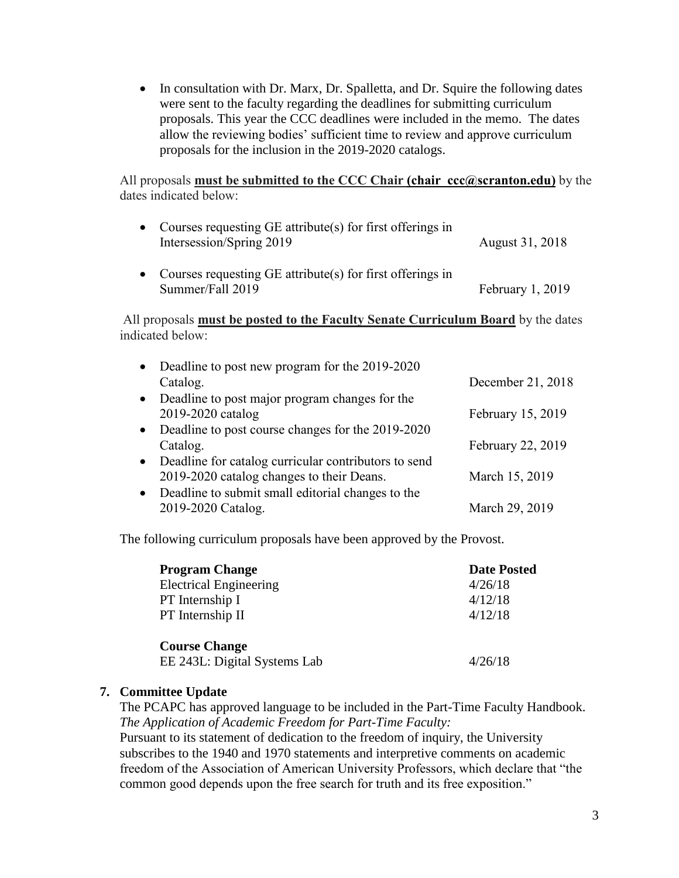• In consultation with Dr. Marx, Dr. Spalletta, and Dr. Squire the following dates were sent to the faculty regarding the deadlines for submitting curriculum proposals. This year the CCC deadlines were included in the memo. The dates allow the reviewing bodies' sufficient time to review and approve curriculum proposals for the inclusion in the 2019-2020 catalogs.

All proposals **must be submitted to the CCC Chair [\(chair\\_ccc@scranton.edu\)](mailto:chair_ccc@scranton.edu)** by the dates indicated below:

| • Courses requesting $GE$ attribute(s) for first offerings in<br>Intersession/Spring 2019 | August 31, 2018  |
|-------------------------------------------------------------------------------------------|------------------|
| • Courses requesting $GE$ attribute(s) for first offerings in<br>Summer/Fall 2019         | February 1, 2019 |

All proposals **must be posted to the Faculty Senate Curriculum Board** by the dates indicated below:

| Deadline to post new program for the 2019-2020 |                                                                                                                                                                                                                          |
|------------------------------------------------|--------------------------------------------------------------------------------------------------------------------------------------------------------------------------------------------------------------------------|
| Catalog.                                       | December 21, 2018                                                                                                                                                                                                        |
|                                                |                                                                                                                                                                                                                          |
| 2019-2020 catalog                              | February 15, 2019                                                                                                                                                                                                        |
|                                                |                                                                                                                                                                                                                          |
| Catalog.                                       | February 22, 2019                                                                                                                                                                                                        |
|                                                |                                                                                                                                                                                                                          |
| 2019-2020 catalog changes to their Deans.      | March 15, 2019                                                                                                                                                                                                           |
|                                                |                                                                                                                                                                                                                          |
| 2019-2020 Catalog.                             | March 29, 2019                                                                                                                                                                                                           |
|                                                | • Deadline to post major program changes for the<br>• Deadline to post course changes for the 2019-2020<br>• Deadline for catalog curricular contributors to send<br>• Deadline to submit small editorial changes to the |

The following curriculum proposals have been approved by the Provost.

| <b>Program Change</b>         | <b>Date Posted</b> |
|-------------------------------|--------------------|
| <b>Electrical Engineering</b> | 4/26/18            |
| PT Internship I               | 4/12/18            |
| PT Internship II              | 4/12/18            |
| <b>Course Change</b>          |                    |
| EE 243L: Digital Systems Lab  | 4/26/18            |

## **7. Committee Update**

The PCAPC has approved language to be included in the Part-Time Faculty Handbook. *The Application of Academic Freedom for Part-Time Faculty:*

Pursuant to its statement of dedication to the freedom of inquiry, the University subscribes to the 1940 and 1970 statements and interpretive comments on academic freedom of the Association of American University Professors, which declare that "the common good depends upon the free search for truth and its free exposition."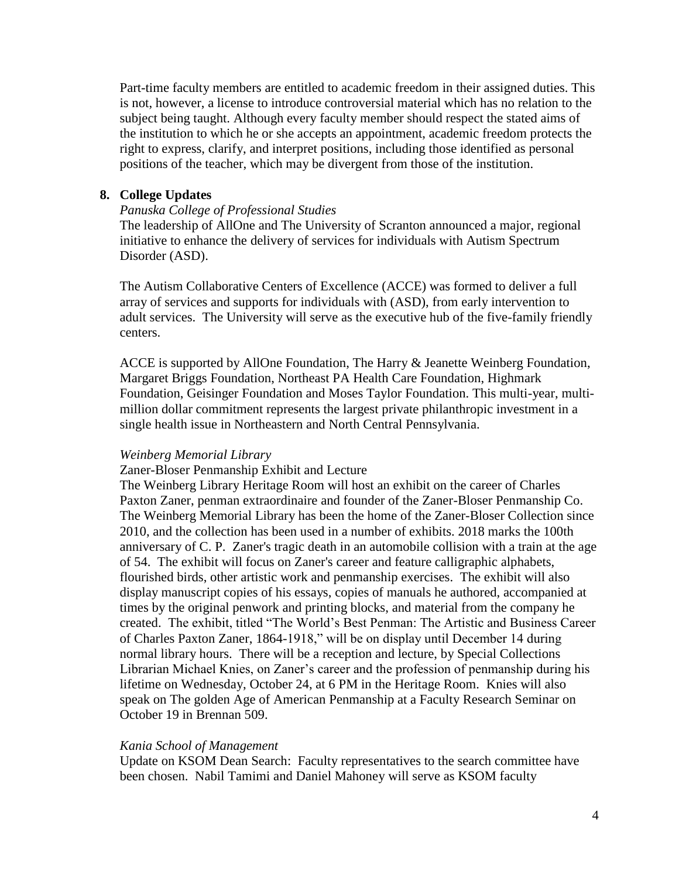Part-time faculty members are entitled to academic freedom in their assigned duties. This is not, however, a license to introduce controversial material which has no relation to the subject being taught. Although every faculty member should respect the stated aims of the institution to which he or she accepts an appointment, academic freedom protects the right to express, clarify, and interpret positions, including those identified as personal positions of the teacher, which may be divergent from those of the institution.

# **8. College Updates**

#### *Panuska College of Professional Studies*

The leadership of AllOne and The University of Scranton announced a major, regional initiative to enhance the delivery of services for individuals with Autism Spectrum Disorder (ASD).

The Autism Collaborative Centers of Excellence (ACCE) was formed to deliver a full array of services and supports for individuals with (ASD), from early intervention to adult services. The University will serve as the executive hub of the five-family friendly centers.

ACCE is supported by AllOne Foundation, The Harry & Jeanette Weinberg Foundation, Margaret Briggs Foundation, Northeast PA Health Care Foundation, Highmark Foundation, Geisinger Foundation and Moses Taylor Foundation. This multi-year, multimillion dollar commitment represents the largest private philanthropic investment in a single health issue in Northeastern and North Central Pennsylvania.

#### *Weinberg Memorial Library*

Zaner-Bloser Penmanship Exhibit and Lecture

The Weinberg Library Heritage Room will host an exhibit on the career of Charles Paxton Zaner, penman extraordinaire and founder of the Zaner-Bloser Penmanship Co. The Weinberg Memorial Library has been the home of the Zaner-Bloser Collection since 2010, and the collection has been used in a number of exhibits. 2018 marks the 100th anniversary of C. P. Zaner's tragic death in an automobile collision with a train at the age of 54. The exhibit will focus on Zaner's career and feature calligraphic alphabets, flourished birds, other artistic work and penmanship exercises. The exhibit will also display manuscript copies of his essays, copies of manuals he authored, accompanied at times by the original penwork and printing blocks, and material from the company he created. The exhibit, titled "The World's Best Penman: The Artistic and Business Career of Charles Paxton Zaner, 1864-1918," will be on display until December 14 during normal library hours. There will be a reception and lecture, by Special Collections Librarian Michael Knies, on Zaner's career and the profession of penmanship during his lifetime on Wednesday, October 24, at 6 PM in the Heritage Room. Knies will also speak on The golden Age of American Penmanship at a Faculty Research Seminar on October 19 in Brennan 509.

#### *Kania School of Management*

Update on KSOM Dean Search: Faculty representatives to the search committee have been chosen. Nabil Tamimi and Daniel Mahoney will serve as KSOM faculty